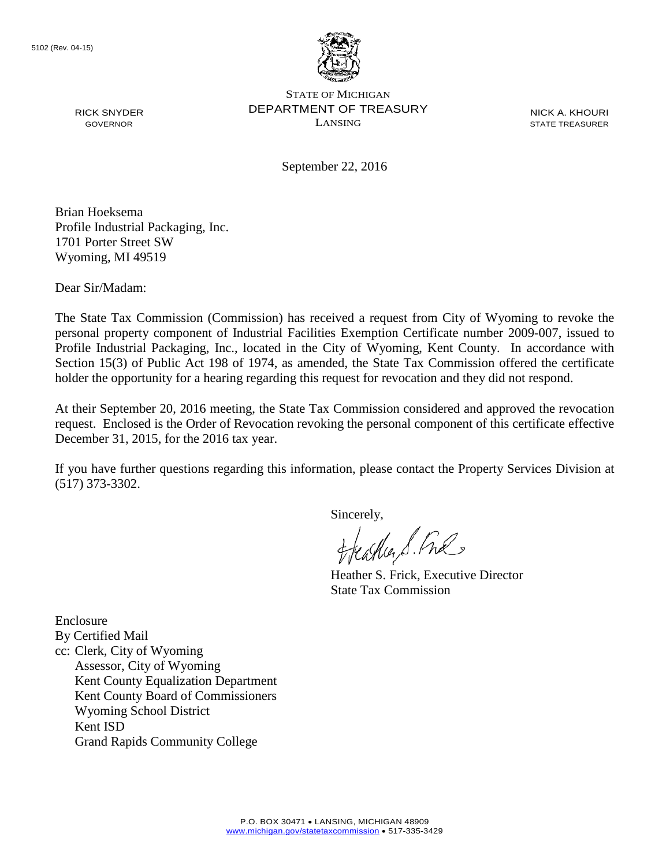

STATE OF MICHIGAN DEPARTMENT OF TREASURY LANSING

NICK A. KHOURI STATE TREASURER

September 22, 2016

Brian Hoeksema Profile Industrial Packaging, Inc. 1701 Porter Street SW Wyoming, MI 49519

Dear Sir/Madam:

RICK SNYDER GOVERNOR

The State Tax Commission (Commission) has received a request from City of Wyoming to revoke the personal property component of Industrial Facilities Exemption Certificate number 2009-007, issued to Profile Industrial Packaging, Inc., located in the City of Wyoming, Kent County. In accordance with Section 15(3) of Public Act 198 of 1974, as amended, the State Tax Commission offered the certificate holder the opportunity for a hearing regarding this request for revocation and they did not respond.

At their September 20, 2016 meeting, the State Tax Commission considered and approved the revocation request. Enclosed is the Order of Revocation revoking the personal component of this certificate effective December 31, 2015, for the 2016 tax year.

If you have further questions regarding this information, please contact the Property Services Division at (517) 373-3302.

Sincerely,

eagher S. Free

Heather S. Frick, Executive Director State Tax Commission

Enclosure By Certified Mail cc: Clerk, City of Wyoming Assessor, City of Wyoming Kent County Equalization Department Kent County Board of Commissioners Wyoming School District Kent ISD Grand Rapids Community College